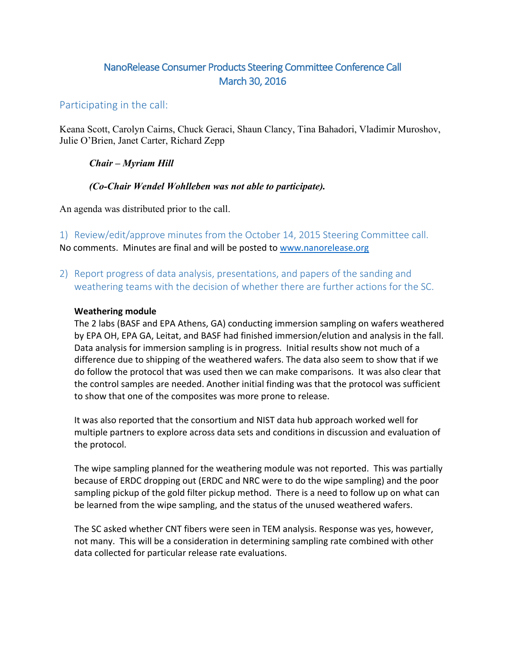# NanoRelease Consumer Products Steering Committee Conference Call March 30, 2016

## Participating in the call:

Keana Scott, Carolyn Cairns, Chuck Geraci, Shaun Clancy, Tina Bahadori, Vladimir Muroshov, Julie O'Brien, Janet Carter, Richard Zepp

### *Chair – Myriam Hill*

### *(Co-Chair Wendel Wohlleben was not able to participate).*

An agenda was distributed prior to the call.

1) Review/edit/approve minutes from the October 14, 2015 Steering Committee call. No comments. Minutes are final and will be posted to www.nanorelease.org

2) Report progress of data analysis, presentations, and papers of the sanding and weathering teams with the decision of whether there are further actions for the SC.

#### **Weathering module**

The 2 labs (BASF and EPA Athens, GA) conducting immersion sampling on wafers weathered by EPA OH, EPA GA, Leitat, and BASF had finished immersion/elution and analysis in the fall. Data analysis for immersion sampling is in progress. Initial results show not much of a difference due to shipping of the weathered wafers. The data also seem to show that if we do follow the protocol that was used then we can make comparisons. It was also clear that the control samples are needed. Another initial finding was that the protocol was sufficient to show that one of the composites was more prone to release.

It was also reported that the consortium and NIST data hub approach worked well for multiple partners to explore across data sets and conditions in discussion and evaluation of the protocol.

The wipe sampling planned for the weathering module was not reported. This was partially because of ERDC dropping out (ERDC and NRC were to do the wipe sampling) and the poor sampling pickup of the gold filter pickup method. There is a need to follow up on what can be learned from the wipe sampling, and the status of the unused weathered wafers.

The SC asked whether CNT fibers were seen in TEM analysis. Response was yes, however, not many. This will be a consideration in determining sampling rate combined with other data collected for particular release rate evaluations.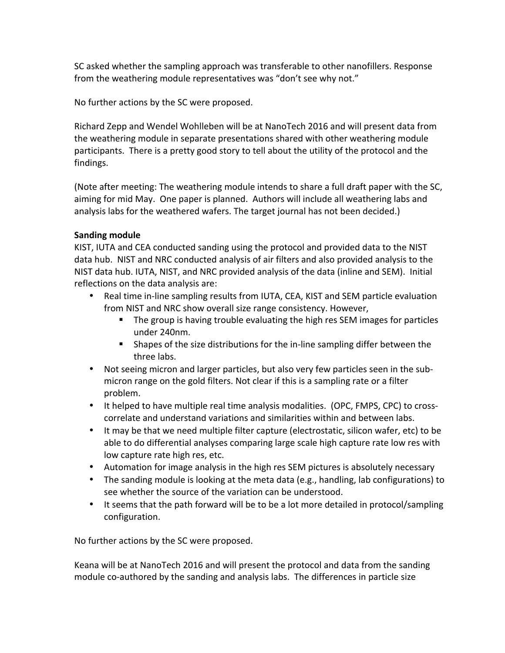SC asked whether the sampling approach was transferable to other nanofillers. Response from the weathering module representatives was "don't see why not."

No further actions by the SC were proposed.

Richard Zepp and Wendel Wohlleben will be at NanoTech 2016 and will present data from the weathering module in separate presentations shared with other weathering module participants. There is a pretty good story to tell about the utility of the protocol and the findings. 

(Note after meeting: The weathering module intends to share a full draft paper with the SC, aiming for mid May. One paper is planned. Authors will include all weathering labs and analysis labs for the weathered wafers. The target journal has not been decided.)

#### **Sanding module**

KIST, IUTA and CEA conducted sanding using the protocol and provided data to the NIST data hub. NIST and NRC conducted analysis of air filters and also provided analysis to the NIST data hub. IUTA, NIST, and NRC provided analysis of the data (inline and SEM). Initial reflections on the data analysis are:

- Real time in-line sampling results from IUTA, CEA, KIST and SEM particle evaluation from NIST and NRC show overall size range consistency. However,
	- **•** The group is having trouble evaluating the high res SEM images for particles under 240nm.
	- Shapes of the size distributions for the in-line sampling differ between the three labs.
- Not seeing micron and larger particles, but also very few particles seen in the submicron range on the gold filters. Not clear if this is a sampling rate or a filter problem.
- It helped to have multiple real time analysis modalities. (OPC, FMPS, CPC) to crosscorrelate and understand variations and similarities within and between labs.
- It may be that we need multiple filter capture (electrostatic, silicon wafer, etc) to be able to do differential analyses comparing large scale high capture rate low res with low capture rate high res, etc.
- Automation for image analysis in the high res SEM pictures is absolutely necessary
- The sanding module is looking at the meta data (e.g., handling, lab configurations) to see whether the source of the variation can be understood.
- It seems that the path forward will be to be a lot more detailed in protocol/sampling configuration.

No further actions by the SC were proposed.

Keana will be at NanoTech 2016 and will present the protocol and data from the sanding module co-authored by the sanding and analysis labs. The differences in particle size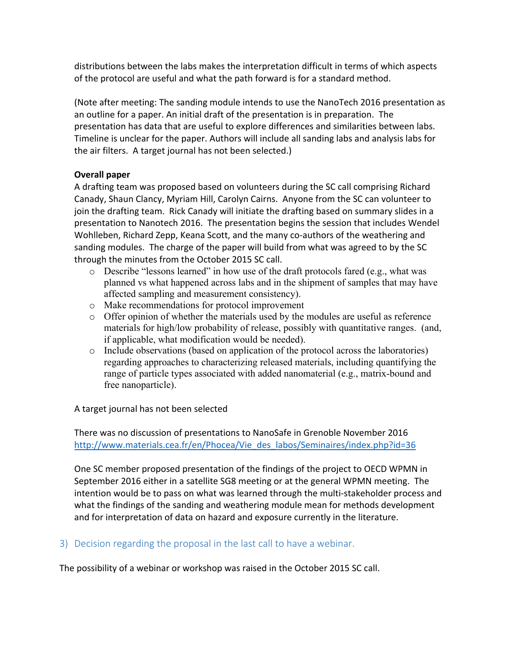distributions between the labs makes the interpretation difficult in terms of which aspects of the protocol are useful and what the path forward is for a standard method.

(Note after meeting: The sanding module intends to use the NanoTech 2016 presentation as an outline for a paper. An initial draft of the presentation is in preparation. The presentation has data that are useful to explore differences and similarities between labs. Timeline is unclear for the paper. Authors will include all sanding labs and analysis labs for the air filters. A target journal has not been selected.)

### **Overall paper**

A drafting team was proposed based on volunteers during the SC call comprising Richard Canady, Shaun Clancy, Myriam Hill, Carolyn Cairns. Anyone from the SC can volunteer to join the drafting team. Rick Canady will initiate the drafting based on summary slides in a presentation to Nanotech 2016. The presentation begins the session that includes Wendel Wohlleben, Richard Zepp, Keana Scott, and the many co-authors of the weathering and sanding modules. The charge of the paper will build from what was agreed to by the SC through the minutes from the October 2015 SC call.

- $\circ$  Describe "lessons learned" in how use of the draft protocols fared (e.g., what was planned vs what happened across labs and in the shipment of samples that may have affected sampling and measurement consistency).
- o Make recommendations for protocol improvement
- $\circ$  Offer opinion of whether the materials used by the modules are useful as reference materials for high/low probability of release, possibly with quantitative ranges. (and, if applicable, what modification would be needed).
- o Include observations (based on application of the protocol across the laboratories) regarding approaches to characterizing released materials, including quantifying the range of particle types associated with added nanomaterial (e.g., matrix-bound and free nanoparticle).

A target journal has not been selected

There was no discussion of presentations to NanoSafe in Grenoble November 2016 http://www.materials.cea.fr/en/Phocea/Vie\_des\_labos/Seminaires/index.php?id=36

One SC member proposed presentation of the findings of the project to OECD WPMN in September 2016 either in a satellite SG8 meeting or at the general WPMN meeting. The intention would be to pass on what was learned through the multi-stakeholder process and what the findings of the sanding and weathering module mean for methods development and for interpretation of data on hazard and exposure currently in the literature.

3) Decision regarding the proposal in the last call to have a webinar.

The possibility of a webinar or workshop was raised in the October 2015 SC call.